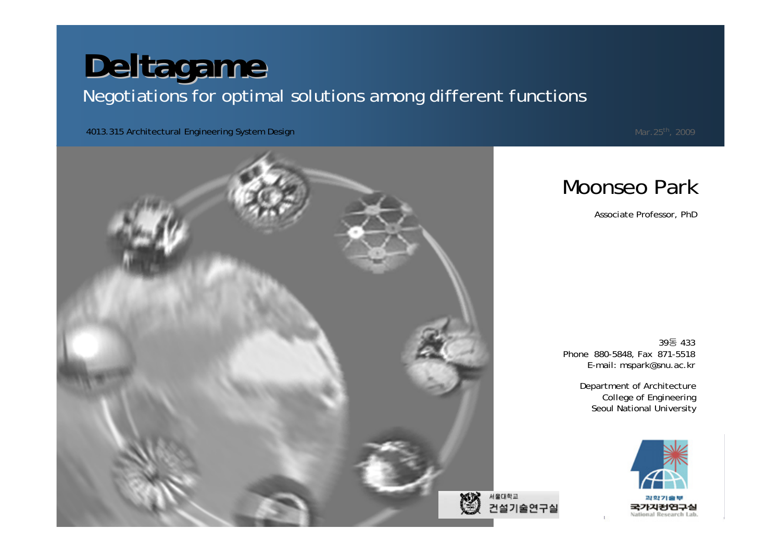#### **Deltagame Deltagame** Negotiations for optimal solutions among different functions

Account 1013.315 Architectural Engineering System Design and Contract and Contract in the Contract of the Mar.25<sup>th</sup>, 2009



#### Moonseo Park

Associate Professor, PhD

39동 433 Phone 880-5848, Fax 871-5518 E-mail: mspark@snu.ac.kr

> Department of Architecture College of Engineering Seoul National University

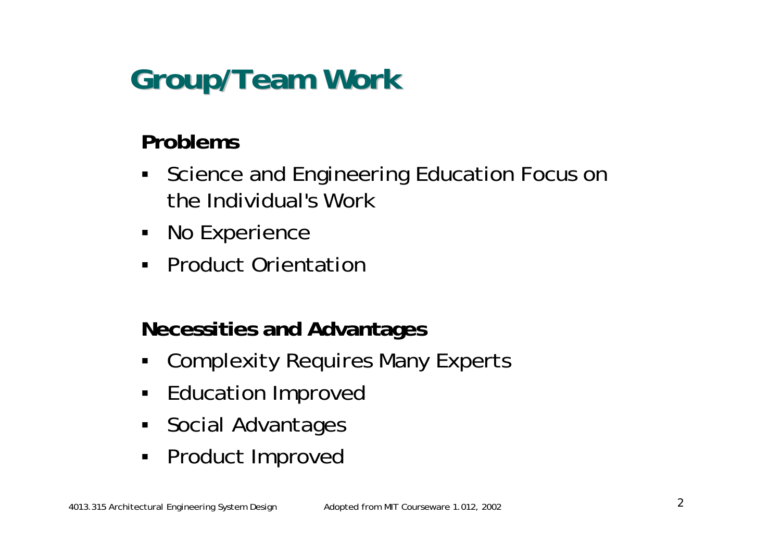## **Group/Team Work Group/Team Work**

#### **Problems**

- **Science and Engineering Education Focus on** the Individual's Work
- **No Experience**
- **Product Orientation**

#### **Necessities and Advantages**

- $\blacksquare$ Complexity Requires Many Experts
- $\blacksquare$ Education Improved
- **Social Advantages**
- Product Improved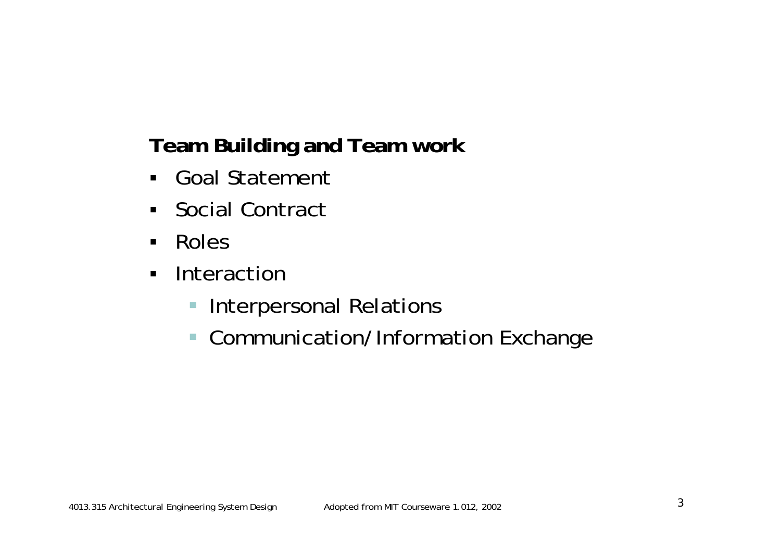#### **Team Building and Team work**

- Goal Statement
- **Social Contract**
- Roles
- **Interaction** 
	- **Interpersonal Relations**
	- $\mathcal{L}_{\mathcal{A}}$ Communication/Information Exchange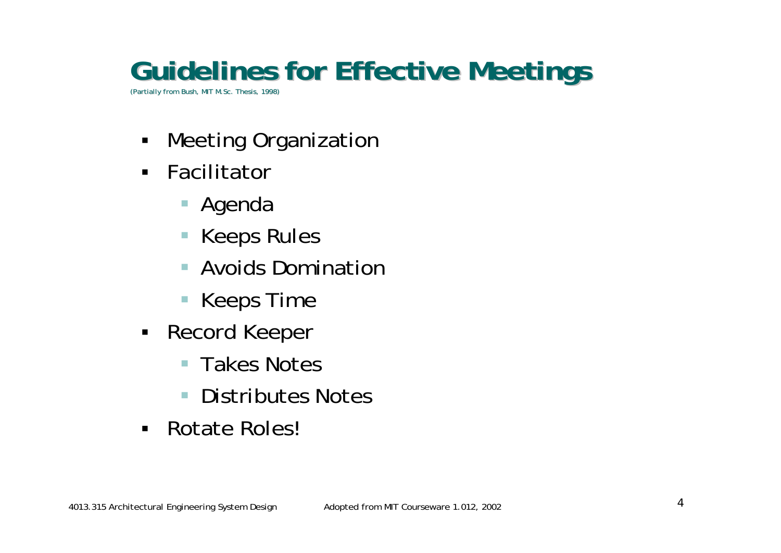## **Guidelines for Effective Meetings Guidelines for Effective Meetings**

(Partially from Bush, MIT M.Sc. Thesis, 1998)

- $\blacksquare$ Meeting Organization
- Facilitator
	- Agenda
	- **Keeps Rules**
	- Avoids Domination
	- **Keeps Time**
- **Record Keeper** 
	- $\mathbf{r}$ Takes Notes
	- $\mathcal{L}_{\mathcal{A}}$ Distributes Notes
- Rotate Roles!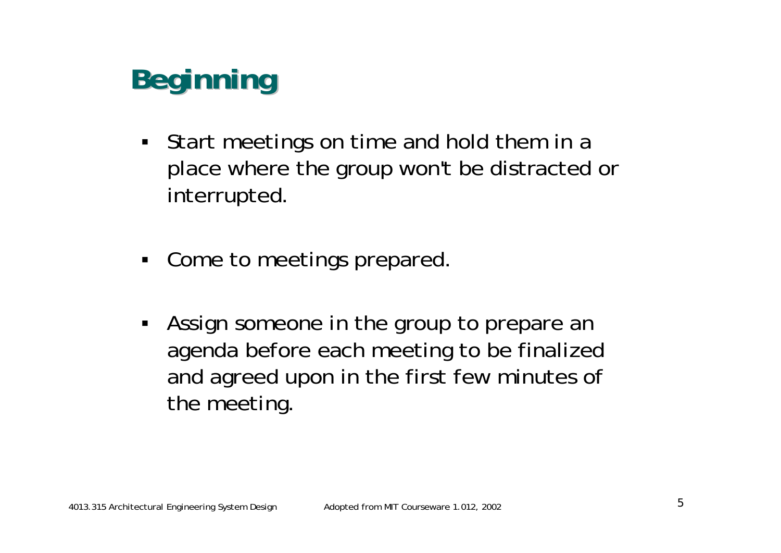## **Beginning Beginning**

- Start meetings on time and hold them in a place where the group won't be distracted or interrupted.
- $\blacksquare$ Come to meetings prepared.
- $\blacksquare$  Assign someone in the group to prepare an agenda before each meeting to be finalized and agreed upon in the first few minutes of the meeting.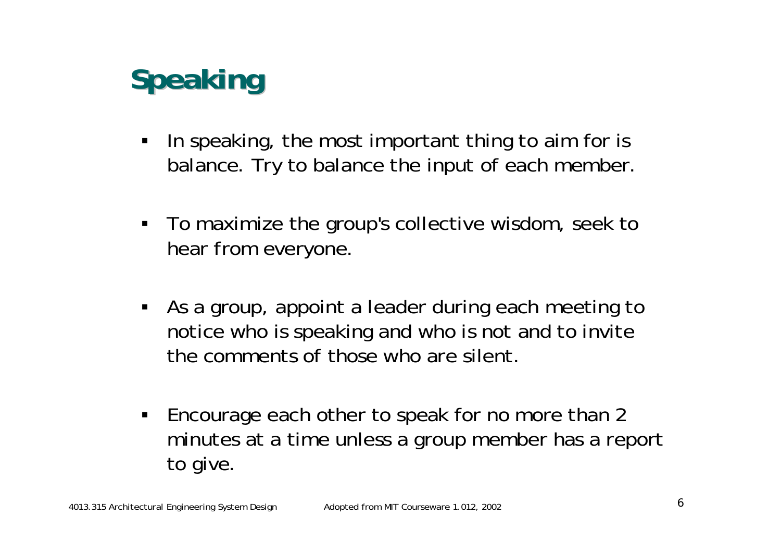## **Speaking Speaking**

- $\blacksquare$  In speaking, the most important thing to aim for is balance. Try to balance the input of each member.
- To maximize the group's collective wisdom, seek to hear from everyone.
- As a group, appoint a leader during each meeting to notice who is speaking and who is not and to invite the comments of those who are silent.
- $\blacksquare$  Encourage each other to speak for no more than 2 minutes at a time unless a group member has a report to give.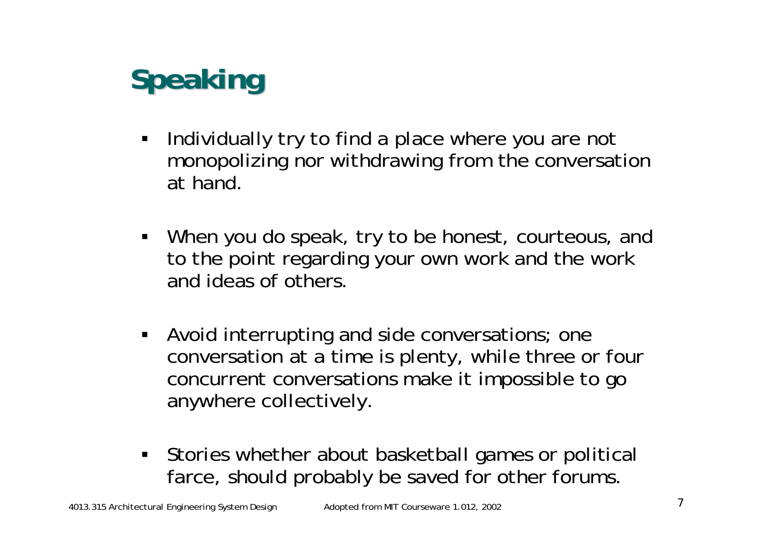# **Speaking Speaking**

- $\blacksquare$  Individually try to find a place where you are not monopolizing nor withdrawing from the conversation at hand.
- When you do speak, try to be honest, courteous, and to the point regarding your own work and the work and ideas of others.
- $\blacksquare$  Avoid interrupting and side conversations; one conversation at a time is plenty, while three or four concurrent conversations make it impossible to go anywhere collectively.
- Stories whether about basketball games or political farce, should probably be saved for other forums.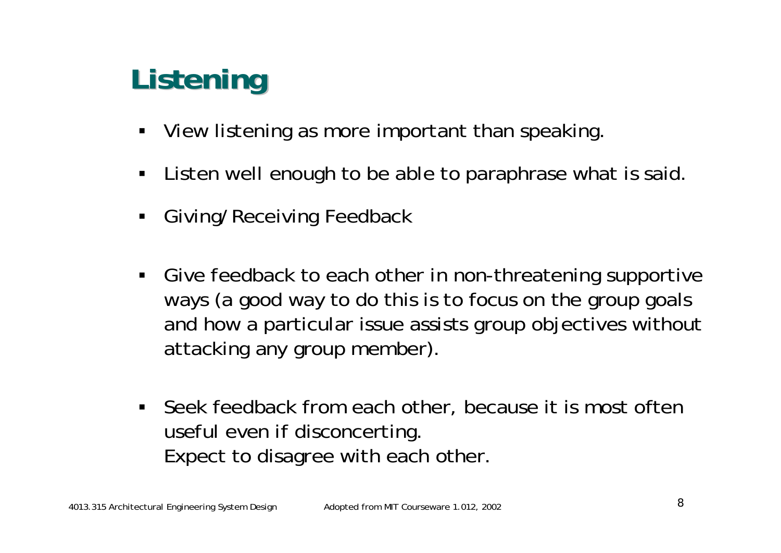# **Listening Listening**

- $\blacksquare$ View listening as more important than speaking.
- $\blacksquare$ Listen well enough to be able to paraphrase what is said.
- $\blacksquare$ Giving/Receiving Feedback
- $\blacksquare$  Give feedback to each other in non-threatening supportive ways (a good way to do this is to focus on the group goals and how a particular issue assists group objectives without attacking any group member).
- **Seek feedback from each other, because it is most often** useful even if disconcerting. Expect to disagree with each other.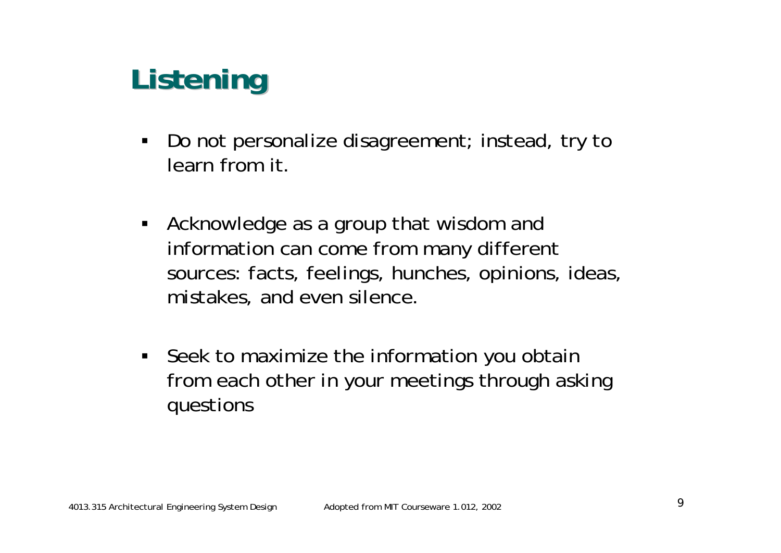## **Listening Listening**

- $\blacksquare$  Do not personalize disagreement; instead, try to learn from it.
- Acknowledge as a group that wisdom and information can come from many different sources: facts, feelings, hunches, opinions, ideas, mistakes, and even silence.
- Seek to maximize the information you obtain from each other in your meetings through asking questions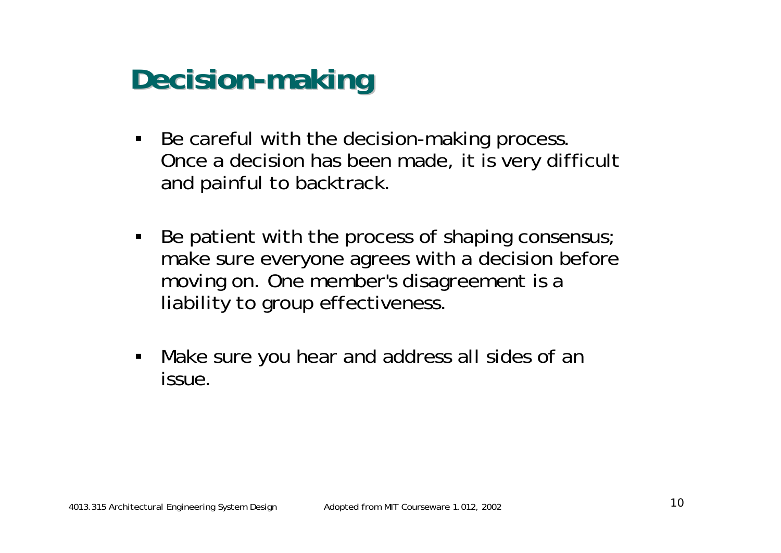## **Decision Decision-making**

- $\blacksquare$  Be careful with the decision-making process. Once a decision has been made, it is very difficult and painful to backtrack.
- $\blacksquare$ Be patient with the process of shaping consensus; make sure everyone agrees with a decision before moving on. One member's disagreement is a liability to group effectiveness.
- Ξ Make sure you hear and address all sides of an issue.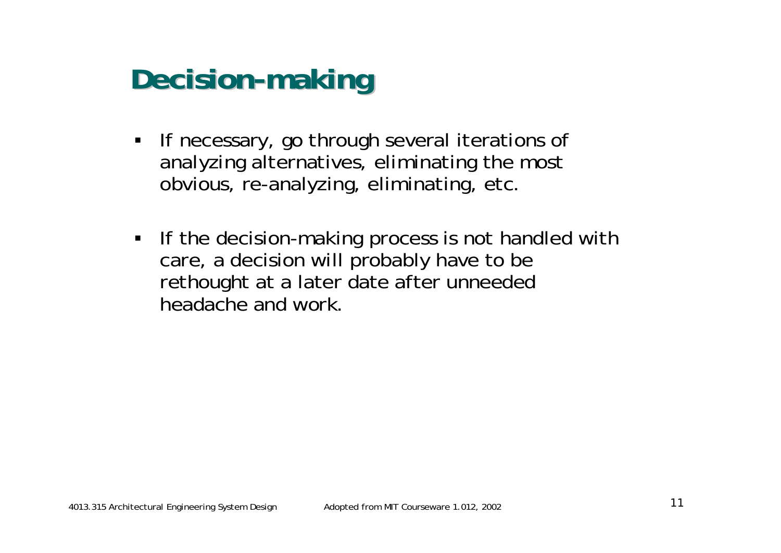## **Decision Decision-making**

- $\blacksquare$  If necessary, go through several iterations of analyzing alternatives, eliminating the most obvious, re-analyzing, eliminating, etc.
- **If the decision-making process is not handled with** care, a decision will probably have to be rethought at a later date after unneeded headache and work.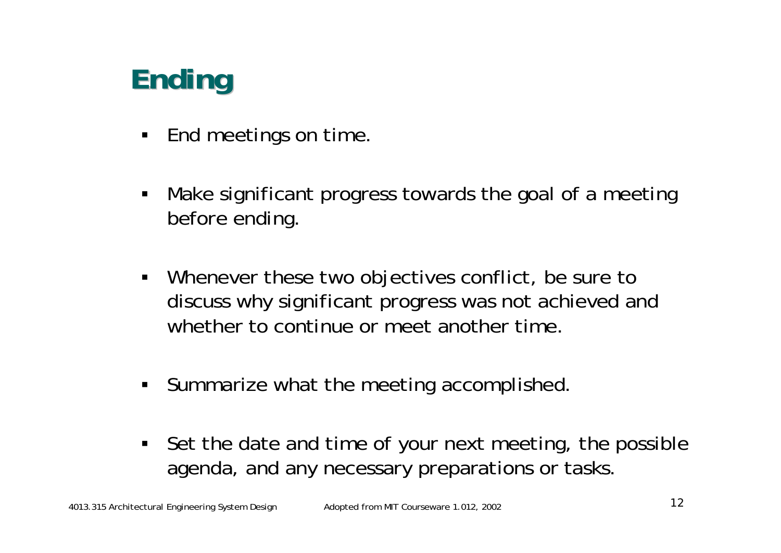## **Ending**

- $\blacksquare$ End meetings on time.
- $\blacksquare$  Make significant progress towards the goal of a meeting before ending.
- Whenever these two objectives conflict, be sure to discuss why significant progress was not achieved and whether to continue or meet another time.
- **Summarize what the meeting accomplished.**
- Set the date and time of your next meeting, the possible agenda, and any necessary preparations or tasks.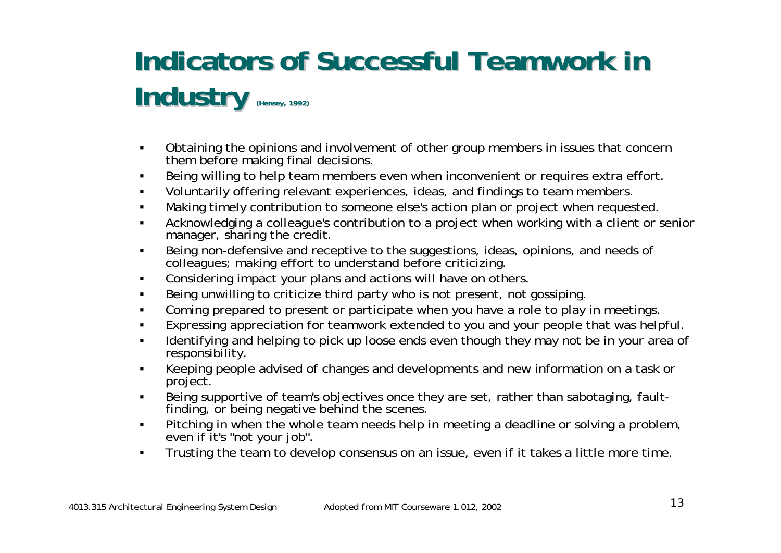## **Indicators of Successful Teamwork in Industry** (*Hensey, 1992*)

- $\blacksquare$  Obtaining the opinions and involvement of other group members in issues that concern them before making final decisions.
- $\blacksquare$ Being willing to help team members even when inconvenient or requires extra effort.
- $\blacksquare$ Voluntarily offering relevant experiences, ideas, and findings to team members.
- $\blacksquare$ Making timely contribution to someone else's action plan or project when requested.
- $\blacksquare$  Acknowledging a colleague's contribution to a project when working with a client or senior manager, sharing the credit.
- $\blacksquare$  Being non-defensive and receptive to the suggestions, ideas, opinions, and needs of colleagues; making effort to understand before criticizing.
- $\blacksquare$ Considering impact your plans and actions will have on others.
- $\blacksquare$ Being unwilling to criticize third party who is not present, not gossiping.
- $\blacksquare$ Coming prepared to present or participate when you have a role to play in meetings.
- $\blacksquare$ Expressing appreciation for teamwork extended to you and your people that was helpful.
- $\blacksquare$  Identifying and helping to pick up loose ends even though they may not be in your area of responsibility.
- $\blacksquare$  Keeping people advised of changes and developments and new information on a task or project.
- $\blacksquare$  Being supportive of team's objectives once they are set, rather than sabotaging, faultfinding, or being negative behind the scenes.
- $\blacksquare$  Pitching in when the whole team needs help in meeting a deadline or solving a problem, even if it's "not your job".
- $\blacksquare$ Trusting the team to develop consensus on an issue, even if it takes a little more time.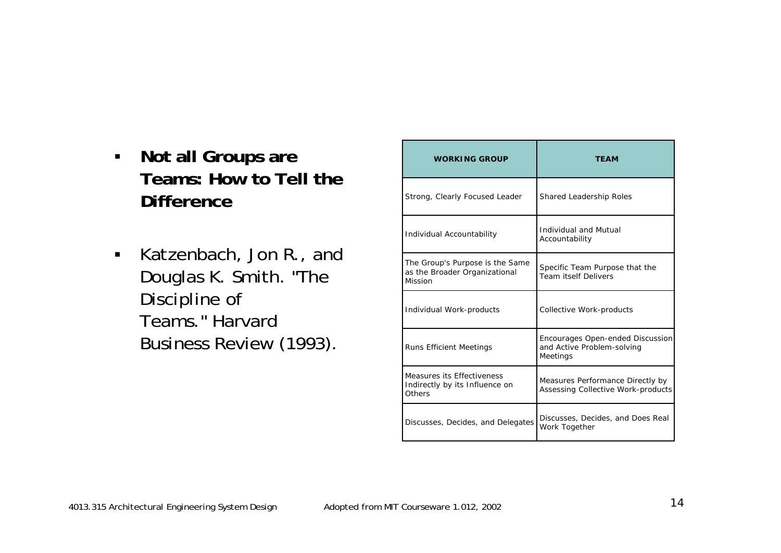- $\blacksquare$  **Not all Groups are Teams: How to Tell the Difference**
- $\blacksquare$  Katzenbach, Jon R., and Douglas K. Smith. "The Discipline of Teams." Harvard Business Review (1993).

| <b>WORKING GROUP</b>                                                        | <b>TEAM</b>                                                                |  |  |
|-----------------------------------------------------------------------------|----------------------------------------------------------------------------|--|--|
| Strong, Clearly Focused Leader                                              | <b>Shared Leadership Roles</b>                                             |  |  |
| Individual Accountability                                                   | Individual and Mutual<br>Accountability                                    |  |  |
| The Group's Purpose is the Same<br>as the Broader Organizational<br>Mission | Specific Team Purpose that the<br><b>Team itself Delivers</b>              |  |  |
| Individual Work-products                                                    | Collective Work-products                                                   |  |  |
| <b>Runs Efficient Meetings</b>                                              | Encourages Open-ended Discussion<br>and Active Problem-solving<br>Meetings |  |  |
| Measures its Effectiveness<br>Indirectly by its Influence on<br>Others      | Measures Performance Directly by<br>Assessing Collective Work-products     |  |  |
| Discusses, Decides, and Delegates                                           | Discusses, Decides, and Does Real<br>Work Together                         |  |  |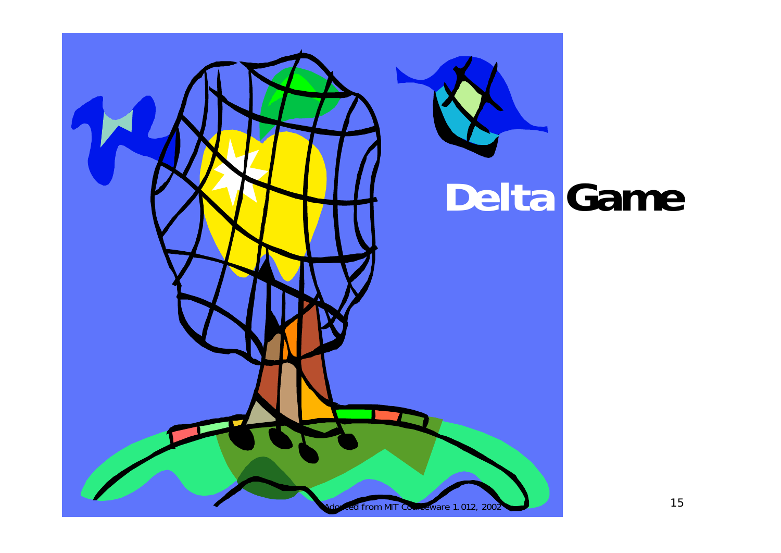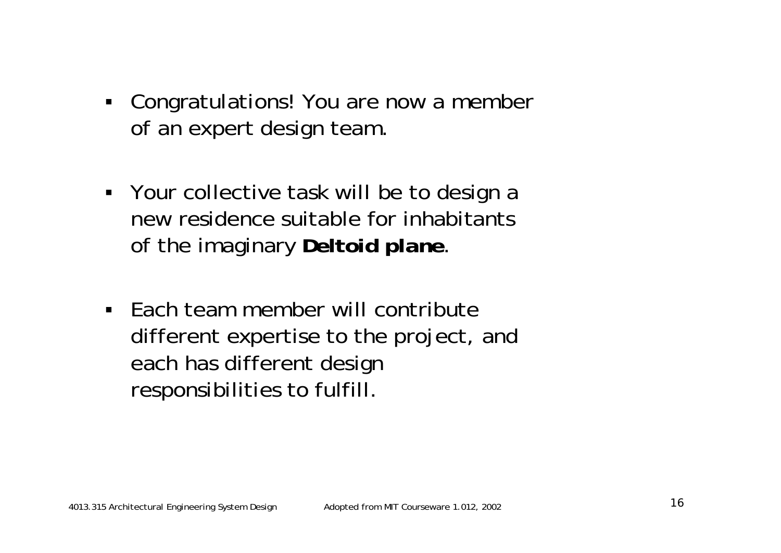- Congratulations! You are now a member of an expert design team.
- Your collective task will be to design a new residence suitable for inhabitants of the imaginary *Deltoid plane*.
- **Each team member will contribute** different expertise to the project, and each has different design responsibilities to fulfill.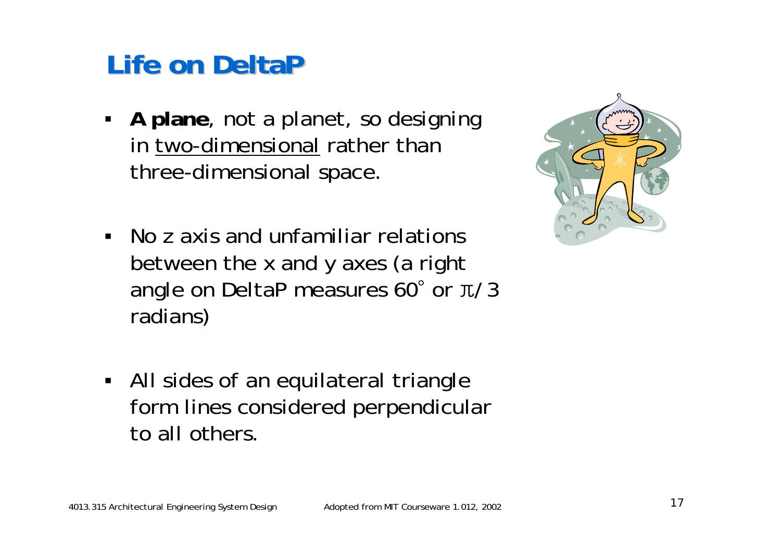### **Life on DeltaP**

- **A plane**, not a planet, so designing in two-dimensional rather than three-dimensional space.
- $\blacksquare$  No z axis and unfamiliar relations between the x and y axes (a right angle on DeltaP measures 60° or π/3 radians)



 All sides of an equilateral triangle form lines considered perpendicular to all others.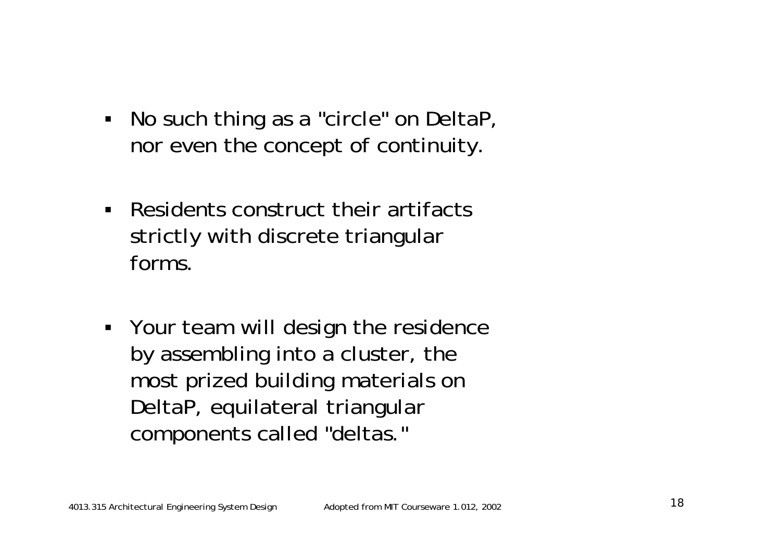- No such thing as a "circle" on DeltaP, nor even the concept of continuity.
- Residents construct their artifacts strictly with discrete triangular forms.
- Your team will design the residence by assembling into a cluster, the most prized building materials on DeltaP, equilateral triangular components called "deltas."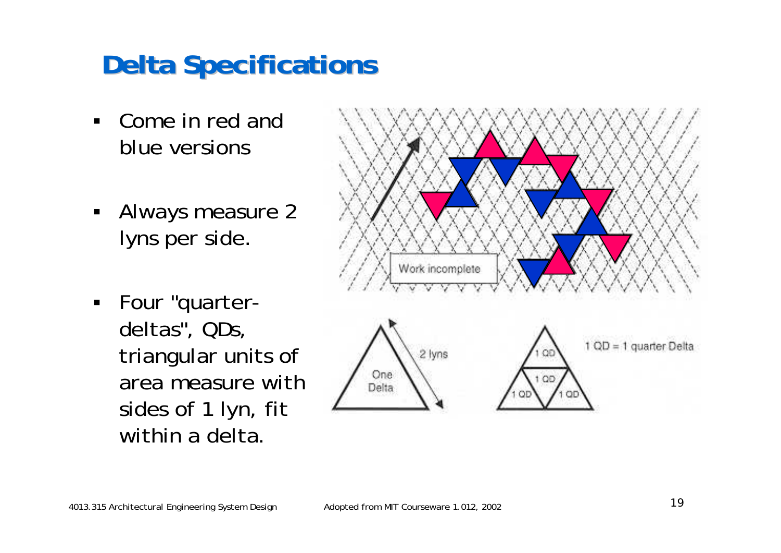### **Delta Specifications**

- Come in red and blue versions
- Always measure 2 lyns per side.
- Four "quarterdeltas", QDs, triangular units of area measure with sides of 1 lyn, fit within a delta.

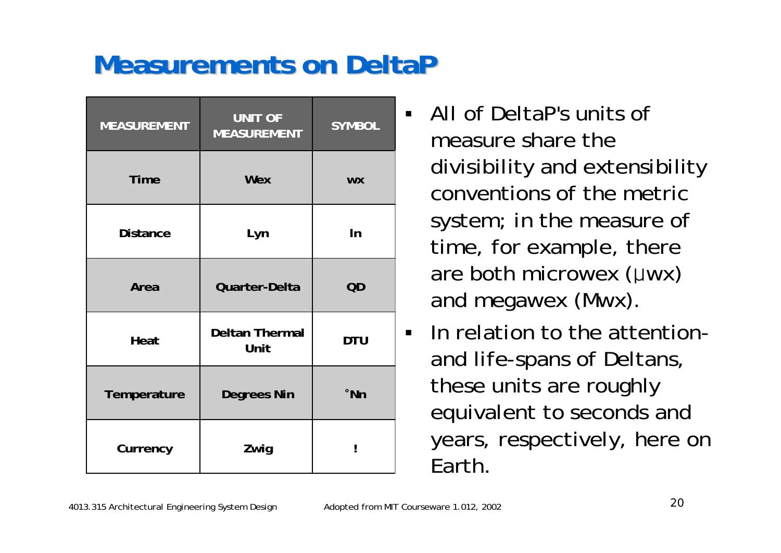### **Measurements on DeltaP**

| <b>MEASUREMENT</b> | <b>UNIT OF</b><br><b>MEASUREMENT</b> | <b>SYMBOL</b> |  |
|--------------------|--------------------------------------|---------------|--|
| <b>Time</b>        | Wex                                  | <b>WX</b>     |  |
| <b>Distance</b>    | Lyn                                  | In            |  |
| Area               | Quarter-Delta                        | QD            |  |
| Heat               | <b>Deltan Thermal</b><br>Unit        | <b>DTU</b>    |  |
| Temperature        | <b>Degrees Nin</b>                   | °Nn           |  |
| Currency           | Zwig                                 | ı             |  |

- **MEASUREM All of DeltaP's units of measure share the** divisibility and extensibility conventions of the metric system; in the measure of time, for example, there are both microwex (μwx) and megawex (Mwx).
- **In relation to the attention**and life-spans of Deltans, these units are roughly equivalent to seconds and years, respectively, here on Earth.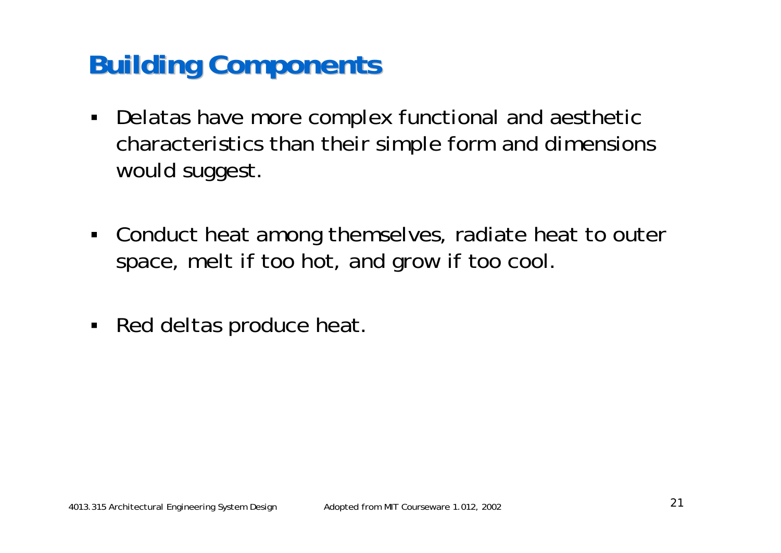### **Building Components Building Components**

- $\blacksquare$  Delatas have more complex functional and aesthetic characteristics than their simple form and dimensions would suggest.
- $\blacksquare$  . Conduct heat among themselves, radiate heat to outer space, melt if too hot, and grow if too cool.
- Red deltas produce heat.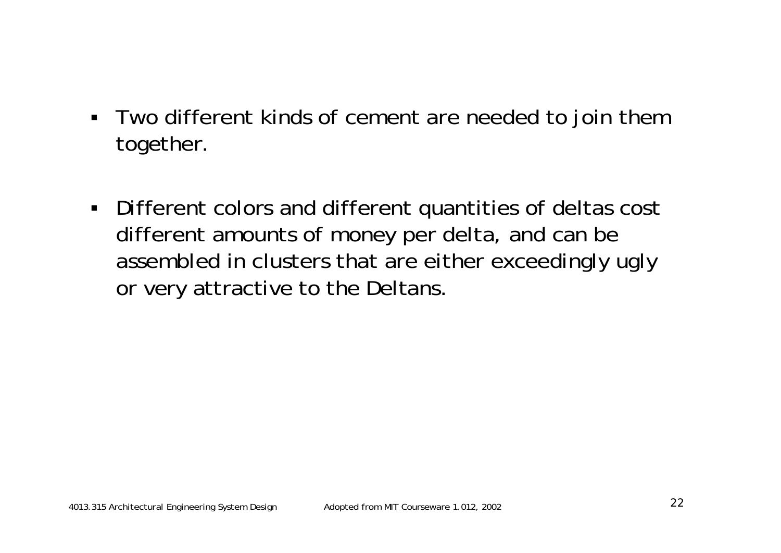- Two different kinds of cement are needed to join them together.
- Different colors and different quantities of deltas cost different amounts of money per delta, and can be assembled in clusters that are either exceedingly ugly or very attractive to the Deltans.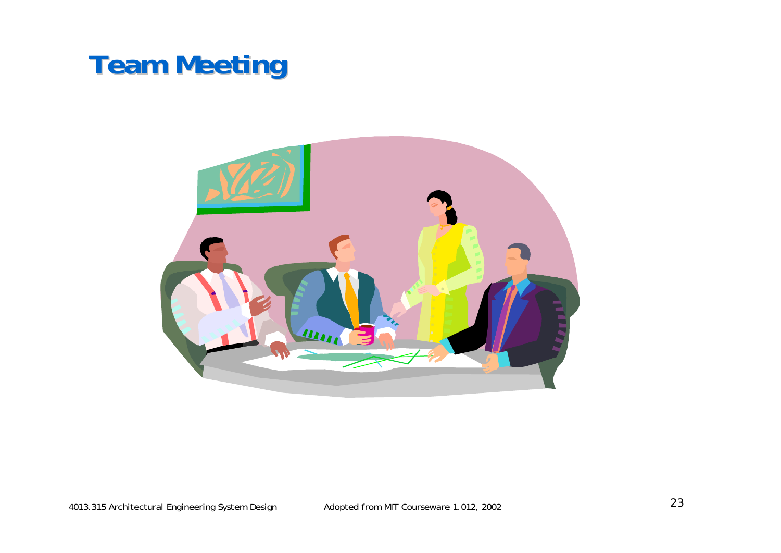#### **Team Meeting Team Meeting**

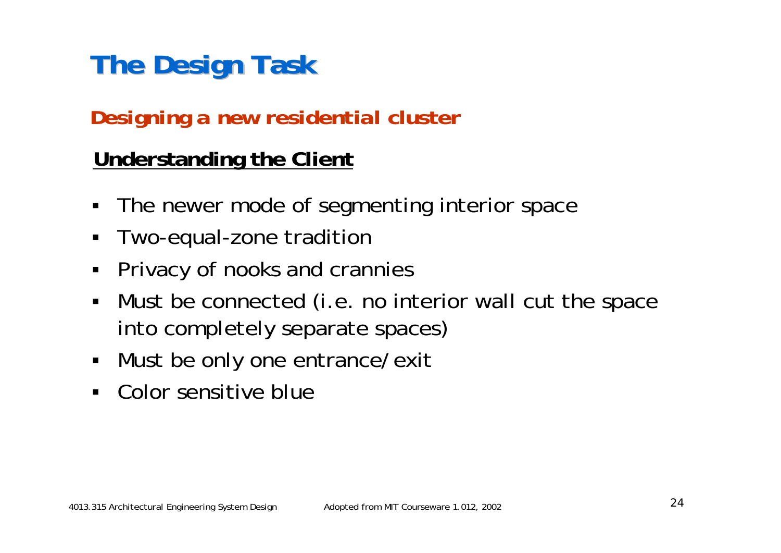### **The Design Task The Design Task**

#### *Designing a new residential cluster*

#### **Understanding the Client**

- $\blacksquare$ The newer mode of segmenting interior space
- Two-equal-zone tradition
- **Privacy of nooks and crannies**
- $\blacksquare$  Must be connected (i.e. no interior wall cut the space into completely separate spaces)
- **Must be only one entrance/exit**
- Color sensitive blue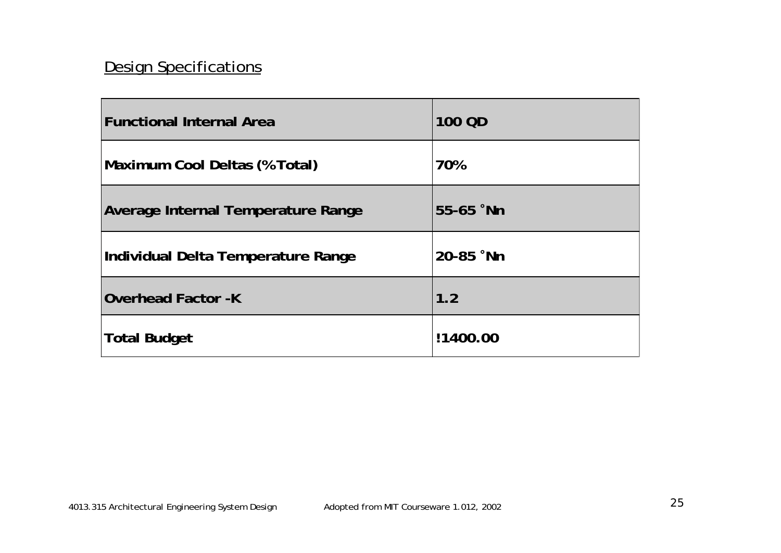#### Design Specifications

| <b>Functional Internal Area</b>    | 100 QD                |
|------------------------------------|-----------------------|
| Maximum Cool Deltas (% Total)      | 70%                   |
| Average Internal Temperature Range | $55-65$ $^{\circ}$ Nn |
| Individual Delta Temperature Range | 20-85 °Nn             |
| <b>Overhead Factor -K</b>          | 1.2                   |
| Total Budget                       | !1400.00              |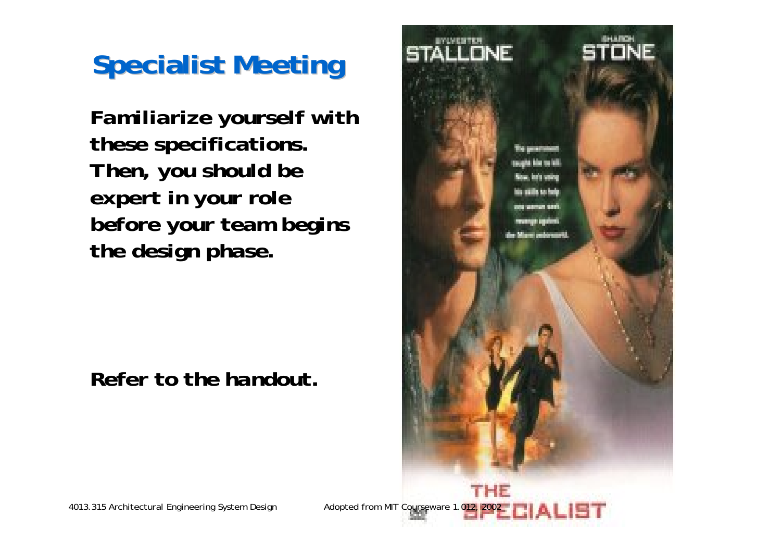### **Specialist Meeting Specialist Meeting**

*Familiarize yourself with these specifications. Then, you should be expert in your role before your team begins the design phase.*

*Refer to the handout.*

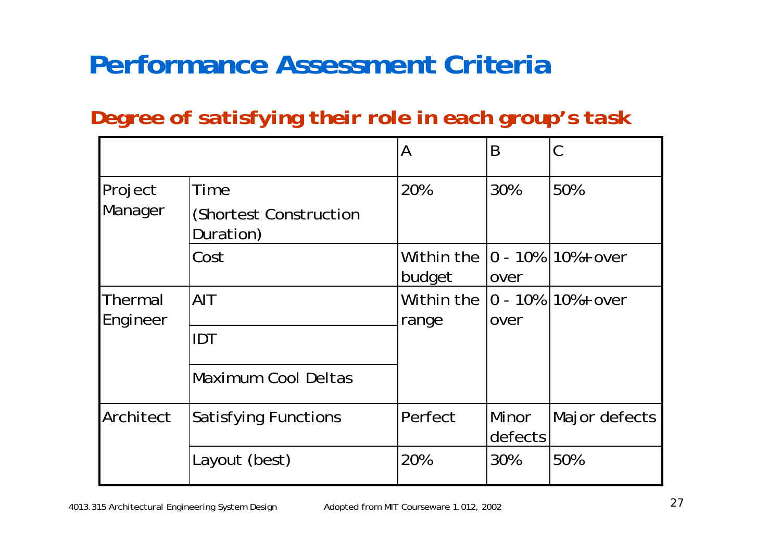### **Performance Assessment Criteria**

#### *Degree of satisfying their role in each group's task*

|                     |                                             | A                                         | B                | C             |
|---------------------|---------------------------------------------|-------------------------------------------|------------------|---------------|
| Project<br>Manager  | Time<br>(Shortest Construction<br>Duration) | 20%                                       | 30%              | 50%           |
|                     | Cost                                        | Within the 10 - 10% 110%+ over<br>budget  | over             |               |
| Thermal<br>Engineer | AIT                                         | Within the  0 - 10%   10% + over<br>range | over             |               |
|                     | <b>IDT</b>                                  |                                           |                  |               |
|                     | <b>Maximum Cool Deltas</b>                  |                                           |                  |               |
| Architect           | <b>Satisfying Functions</b>                 | Perfect                                   | Minor<br>defects | Major defects |
|                     | Layout (best)                               | 20%                                       | 30%              | 50%           |